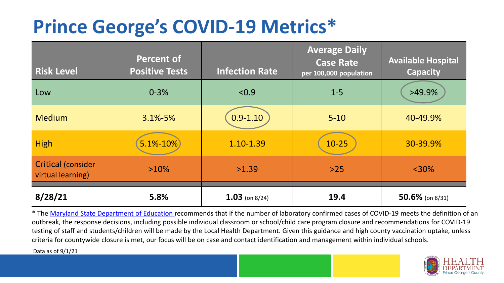## **Prince George's COVID-19 Metrics\***

| <b>Risk Level</b>                              | <b>Percent of</b><br><b>Positive Tests</b> | <b>Infection Rate</b> | <b>Average Daily</b><br><b>Case Rate</b><br>per 100,000 population | <b>Available Hospital</b><br><b>Capacity</b> |
|------------------------------------------------|--------------------------------------------|-----------------------|--------------------------------------------------------------------|----------------------------------------------|
| Low                                            | $0 - 3%$                                   | < 0.9                 | $1 - 5$                                                            | >49.9%                                       |
| <b>Medium</b>                                  | $3.1\% - 5\%$                              | $0.9 - 1.10$          | $5 - 10$                                                           | 40-49.9%                                     |
| <b>High</b>                                    | 5.1%-10%                                   | 1.10-1.39             | $10 - 25$                                                          | 30-39.9%                                     |
| <b>Critical (consider</b><br>virtual learning) | $>10\%$                                    | >1.39                 | $>25$                                                              | $<$ 30%                                      |
| 8/28/21                                        | 5.8%                                       | $1.03$ (on 8/24)      | 19.4                                                               | 50.6% (on $8/31$ )                           |

\* The [Maryland State Department of Education r](https://earlychildhood.marylandpublicschools.org/system/files/filedepot/3/covid_guidance_full_080420.pdf)ecommends that if the number of laboratory confirmed cases of COVID-19 meets the definition of an outbreak, the response decisions, including possible individual classroom or school/child care program closure and recommendations for COVID-19 testing of staff and students/children will be made by the Local Health Department. Given this guidance and high county vaccination uptake, unless criteria for countywide closure is met, our focus will be on case and contact identification and management within individual schools.

Data as of 9/1/21

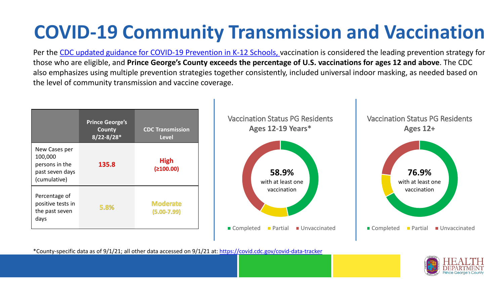# **COVID-19 Community Transmission and Vaccination**

Per the [CDC updated guidance for COVID-19 Prevention in K-12 Schools,](https://www.cdc.gov/coronavirus/2019-ncov/community/schools-childcare/k-12-guidance.html) vaccination is considered the leading prevention strategy for those who are eligible, and **Prince George's County exceeds the percentage of U.S. vaccinations for ages 12 and above**. The CDC also emphasizes using multiple prevention strategies together consistently, included universal indoor masking, as needed based on the level of community transmission and vaccine coverage.



\*County-specific data as of 9/1/21; all other data accessed on 9/1/21 at:<https://covid.cdc.gov/covid-data-tracker>

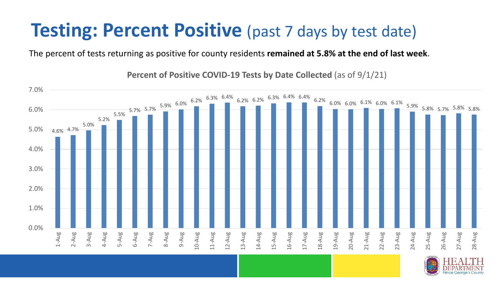#### **Testing: Percent Positive** (past 7 days by test date)

The percent of tests returning as positive for county residents **remained at 5.8% at the end of last week**.

4.6% 4.7% 5.0% 5.2%  $5.7\%$  5.7% 5.9% 6.0% 6.2% 6.3% 6.4% 6.2% 6.3% 6.4% 6.4% 6.2% 6.0% 6.0% 6.1% 6.0% 6.1% 5.9% 5.8% 5.7% 5.8% 5.8% 0.0% 1.0% 2.0% 3.0% 4.0% 5.0% 6.0% 7.0% 1-Aug 2-Aug 3-Aug 4-Aug 5-Aug 6-Aug 7-Aug 8-Aug 9-Aug 10-Aug 11-Aug 12-Aug 13-Aug 14-Aug 15-Aug 16-Aug 17-Aug 18-Aug 19-Aug 20-Aug 21-Aug 22-Aug 23-Aug 24-Aug 25-Aug 26-Aug 27-Aug 28-Aug

**Percent of Positive COVID-19 Tests by Date Collected** (as of 9/1/21)

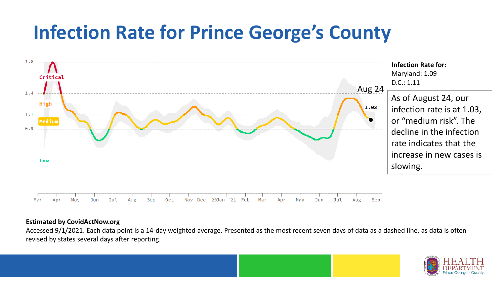### **Infection Rate for Prince George's County**



#### **Estimated by CovidActNow.org**

Accessed 9/1/2021. Each data point is a 14-day weighted average. Presented as the most recent seven days of data as a dashed line, as data is often revised by states several days after reporting.

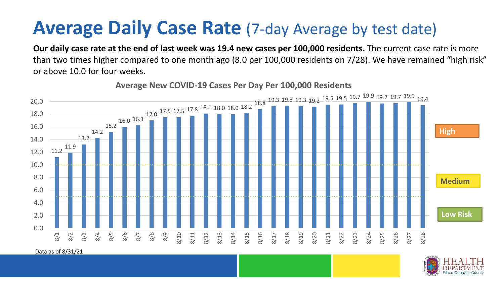#### **Average Daily Case Rate** (7-day Average by test date)

**Our daily case rate at the end of last week was 19.4 new cases per 100,000 residents.** The current case rate is more than two times higher compared to one month ago (8.0 per 100,000 residents on 7/28). We have remained "high risk" or above 10.0 for four weeks.



**Average New COVID-19 Cases Per Day Per 100,000 Residents**

Data as of 8/31/21

![](_page_4_Picture_5.jpeg)